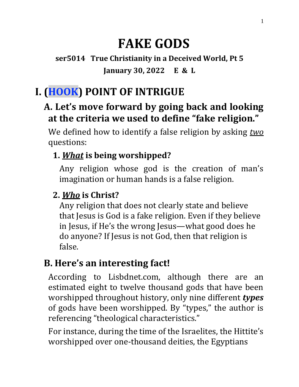# **FAKE GODS**

**ser5014 True Christianity in a Deceived World, Pt 5 January 30, 2022 E & L**

## **I. (HOOK) POINT OF INTRIGUE**

## **A. Let's move forward by going back and looking at the criteria we used to define "fake religion."**

We defined how to identify a false religion by asking *two* questions:

### **1.** *What* **is being worshipped?**

Any religion whose god is the creation of man's imagination or human hands is a false religion.

## **2.** *Who* **is Christ?**

Any religion that does not clearly state and believe that Jesus is God is a fake religion. Even if they believe in Jesus, if He's the wrong Jesus—what good does he do anyone? If Jesus is not God, then that religion is false.

## **B. Here's an interesting fact!**

According to Lisbdnet.com, although there are an estimated eight to twelve thousand gods that have been worshipped throughout history, only nine different *types* of gods have been worshipped. By "types," the author is referencing "theological characteristics."

For instance, during the time of the Israelites, the Hittite's worshipped over one-thousand deities, the Egyptians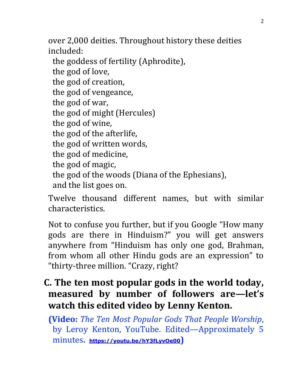over 2,000 deities. Throughout history these deities included:

the goddess of fertility (Aphrodite), the god of love, the god of creation, the god of vengeance, the god of war, the god of might (Hercules) the god of wine, the god of the afterlife, the god of written words, the god of medicine, the god of magic, the god of the woods (Diana of the Ephesians), and the list goes on.

Twelve thousand different names, but with similar characteristics.

Not to confuse you further, but if you Google "How many gods are there in Hinduism?" you will get answers anywhere from "Hinduism has only one god, Brahman, from whom all other Hindu gods are an expression" to "thirty-three million. "Crazy, right?

## **C. The ten most popular gods in the world today, measured by number of followers are—let's watch this edited video by Lenny Kenton.**

**(Video:** *The Ten Most Popular Gods That People Worship*, by Leroy Kenton, YouTube. Edited—Approximately 5 minutes**. <https://youtu.be/hY3fLyvOe00>)**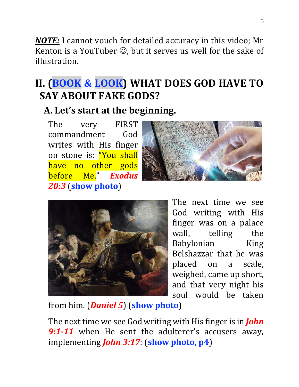*NOTE:* I cannot vouch for detailed accuracy in this video; Mr Kenton is a YouTuber  $\odot$ , but it serves us well for the sake of illustration.

## **II. (BOOK & LOOK) WHAT DOES GOD HAVE TO SAY ABOUT FAKE GODS?**

## **A. Let's start at the beginning.**

The very FIRST commandment God writes with His finger on stone is: "You shall have no other gods before Me." *Exodus 20:3* (**show photo**)





The next time we see God writing with His finger was on a palace wall, telling the Babylonian King Belshazzar that he was placed on a scale, weighed, came up short, and that very night his soul would be taken

from him. (*Daniel 5*) (**show photo**)

The next time we see God writing with His finger is in *John*  9:1-11 when He sent the adulterer's accusers away, implementing *John 3:17*: (**show photo, p4**)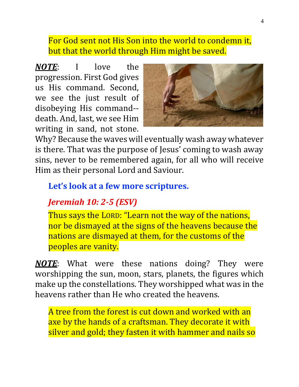#### For God sent not His Son into the world to condemn it, but that the world through Him might be saved.

*NOTE*: I love the progression. First God gives us His command. Second, we see the just result of disobeying His command- death. And, last, we see Him writing in sand, not stone.



Why? Because the waves will eventually wash away whatever is there. That was the purpose of Jesus' coming to wash away sins, never to be remembered again, for all who will receive Him as their personal Lord and Saviour.

#### **Let's look at a few more scriptures.**

## *Jeremiah 10: 2-5 (ESV)*

Thus says the LORD: "Learn not the way of the nations, nor be dismayed at the signs of the heavens because the nations are dismayed at them, for the customs of the peoples are vanity.

*NOTE*: What were these nations doing? They were worshipping the sun, moon, stars, planets, the figures which make up the constellations. They worshipped what was in the heavens rather than He who created the heavens.

A tree from the forest is cut down and worked with an axe by the hands of a craftsman. They decorate it with silver and gold; they fasten it with hammer and nails so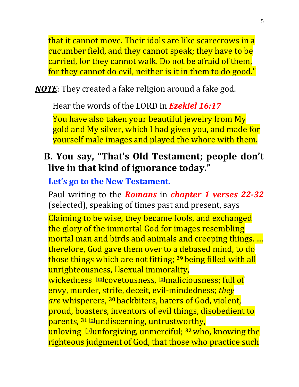that it cannot move. Their idols are like scarecrows in a cucumber field, and they cannot speak; they have to be carried, for they cannot walk. Do not be afraid of them, for they cannot do evil, neither is it in them to do good."

#### *NOTE*: They created a fake religion around a fake god.

Hear the words of the LORD in *Ezekiel 16:17*

You have also taken your beautiful jewelry from My gold and My silver, which I had given you, and made for yourself male images and played the whore with them.

### **B. You say, "That's Old Testament; people don't live in that kind of ignorance today."**

#### **Let's go to the New Testament.**

Paul writing to the *Romans* in *chapter 1 verses 22-32* (selected), speaking of times past and present, says

Claiming to be wise, they became fools, and exchanged the glory of the immortal God for images resembling mortal man and birds and animals and creeping things. … therefore, God gave them over to a debased mind, to do those things which are not fitting; **<sup>29</sup>** being filled with all unrighteousness, **‼sexual immorality**, wickedness [\[m\]](https://www.biblegateway.com/passage/?search=Romans+1&version=NKJV#fen-NKJV-27960m)covetousness, [\[n\]](https://www.biblegateway.com/passage/?search=Romans+1&version=NKJV#fen-NKJV-27960n)maliciousness; full of envy, murder, strife, deceit, evil-mindedness; *they are* whisperers, **<sup>30</sup>** backbiters, haters of God, violent, proud, boasters, inventors of evil things, disobedient to parents, <sup>31 [\[o\]](https://www.biblegateway.com/passage/?search=Romans+1&version=NKJV#fen-NKJV-27962o)</sup>undiscerning, untrustworthy, unloving [\[p\]](https://www.biblegateway.com/passage/?search=Romans+1&version=NKJV#fen-NKJV-27962p)unforgiving, unmerciful; **<sup>32</sup>**who, knowing the righteous judgment of God, that those who practice such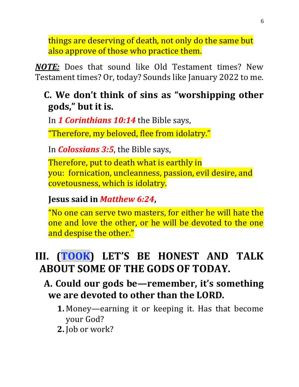things are deserving of death, not only do the same but also approve of those who practice them.

*NOTE:* Does that sound like Old Testament times? New Testament times? Or, today? Sounds like January 2022 to me.

## **C. We don't think of sins as "worshipping other gods," but it is.**

In *1 Corinthians 10:14* the Bible says,

"Therefore, my beloved, flee from idolatry."

In *Colossians 3:5*, the Bible says,

Therefore, put to death what is earthly in you: fornication, uncleanness, passion, evil desire, and covetousness, which is idolatry.

#### **Jesus said in** *Matthew 6:24***,**

"No one can serve two masters, for either he will hate the one and love the other, or he will be devoted to the one and despise the other."

## **III. (TOOK) LET'S BE HONEST AND TALK ABOUT SOME OF THE GODS OF TODAY.**

## **A. Could our gods be—remember, it's something we are devoted to other than the LORD.**

- **1.** Money—earning it or keeping it. Has that become your God?
- **2.** Job or work?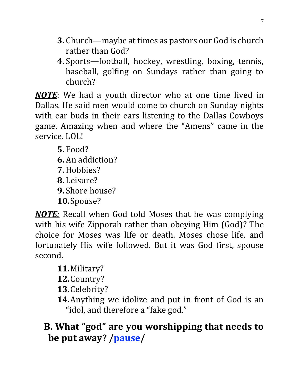- **3.** Church—maybe at times as pastors our God is church rather than God?
- **4.** Sports—football, hockey, wrestling, boxing, tennis, baseball, golfing on Sundays rather than going to church?

*NOTE*: We had a youth director who at one time lived in Dallas. He said men would come to church on Sunday nights with ear buds in their ears listening to the Dallas Cowboys game. Amazing when and where the "Amens" came in the service. LOL!

**5.** Food? **6.** An addiction? **7.**Hobbies? **8.** Leisure? **9.** Shore house? **10.**Spouse?

*NOTE:* Recall when God told Moses that he was complying with his wife Zipporah rather than obeying Him (God)? The choice for Moses was life or death. Moses chose life, and fortunately His wife followed. But it was God first, spouse second.

- **11.**Military?
- **12.**Country?
- **13.**Celebrity?
- **14.**Anything we idolize and put in front of God is an "idol, and therefore a "fake god."

## **B. What "god" are you worshipping that needs to be put away? /pause/**